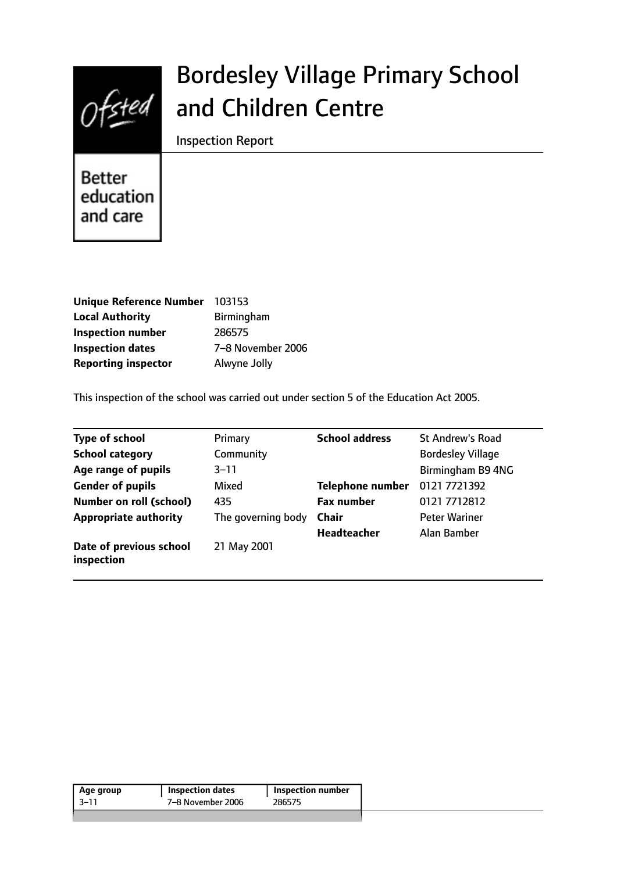

# Bordesley Village Primary School and Children Centre

Inspection Report

**Better** education and care

| <b>Unique Reference Number</b> | 103153            |
|--------------------------------|-------------------|
| <b>Local Authority</b>         | Birmingham        |
| <b>Inspection number</b>       | 286575            |
| <b>Inspection dates</b>        | 7-8 November 2006 |
| <b>Reporting inspector</b>     | Alwyne Jolly      |

This inspection of the school was carried out under section 5 of the Education Act 2005.

| <b>Type of school</b>                 | Primary            | <b>School address</b>   | <b>St Andrew's Road</b>  |
|---------------------------------------|--------------------|-------------------------|--------------------------|
| <b>School category</b>                | Community          |                         | <b>Bordesley Village</b> |
| Age range of pupils                   | $3 - 11$           |                         | Birmingham B9 4NG        |
| <b>Gender of pupils</b>               | Mixed              | <b>Telephone number</b> | 0121 7721392             |
| <b>Number on roll (school)</b>        | 435                | <b>Fax number</b>       | 0121 7712812             |
| <b>Appropriate authority</b>          | The governing body | <b>Chair</b>            | <b>Peter Wariner</b>     |
|                                       |                    | <b>Headteacher</b>      | Alan Bamber              |
| Date of previous school<br>inspection | 21 May 2001        |                         |                          |

| Age group | <b>Inspection dates</b> | <b>Inspection number</b> |
|-----------|-------------------------|--------------------------|
| -3–11     | 7-8 November 2006       | 286575                   |
|           |                         |                          |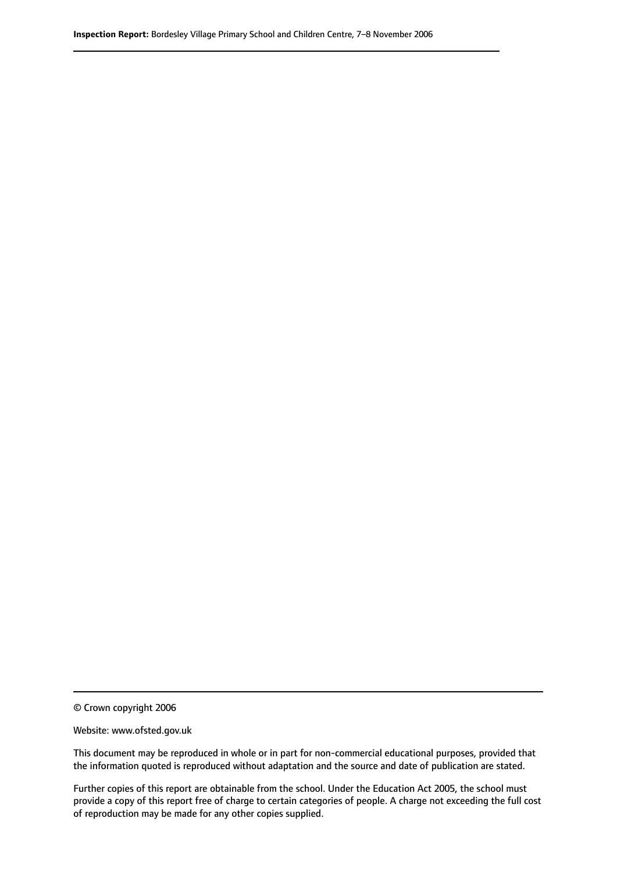© Crown copyright 2006

Website: www.ofsted.gov.uk

This document may be reproduced in whole or in part for non-commercial educational purposes, provided that the information quoted is reproduced without adaptation and the source and date of publication are stated.

Further copies of this report are obtainable from the school. Under the Education Act 2005, the school must provide a copy of this report free of charge to certain categories of people. A charge not exceeding the full cost of reproduction may be made for any other copies supplied.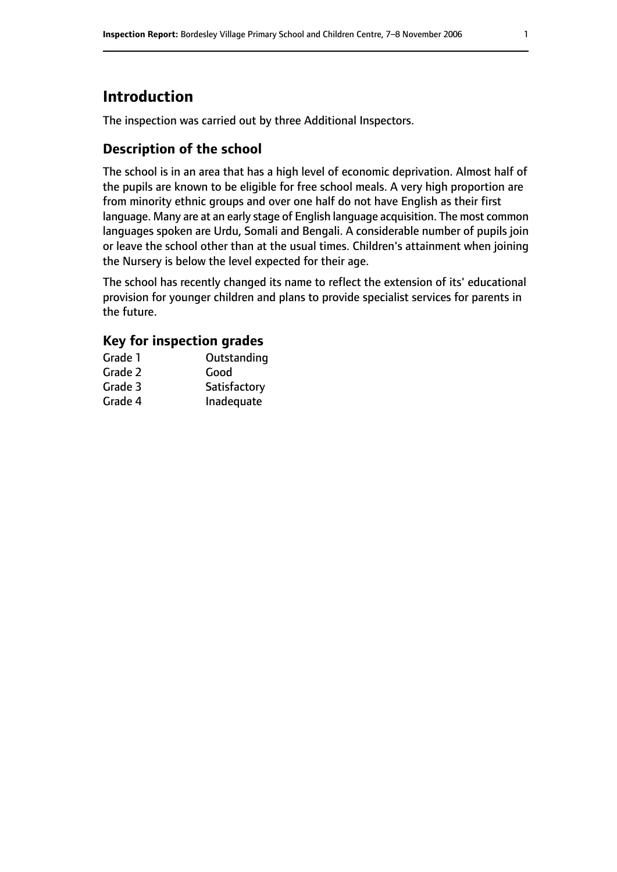## **Introduction**

The inspection was carried out by three Additional Inspectors.

## **Description of the school**

The school is in an area that has a high level of economic deprivation. Almost half of the pupils are known to be eligible for free school meals. A very high proportion are from minority ethnic groups and over one half do not have English as their first language. Many are at an early stage of English language acquisition. The most common languages spoken are Urdu, Somali and Bengali. A considerable number of pupils join or leave the school other than at the usual times. Children's attainment when joining the Nursery is below the level expected for their age.

The school has recently changed its name to reflect the extension of its' educational provision for younger children and plans to provide specialist services for parents in the future.

### **Key for inspection grades**

| Grade 1 | Outstanding  |
|---------|--------------|
| Grade 2 | Good         |
| Grade 3 | Satisfactory |
| Grade 4 | Inadequate   |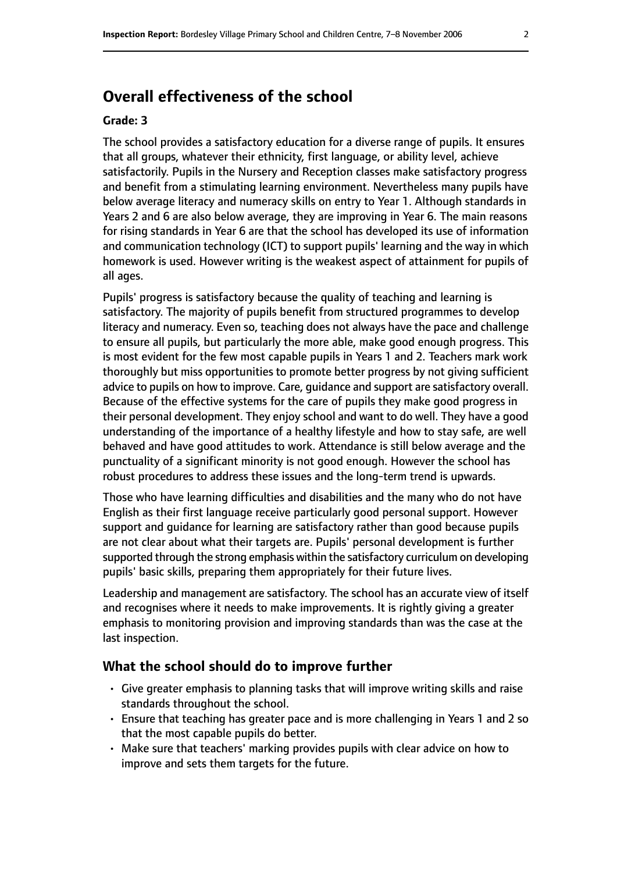## **Overall effectiveness of the school**

#### **Grade: 3**

The school provides a satisfactory education for a diverse range of pupils. It ensures that all groups, whatever their ethnicity, first language, or ability level, achieve satisfactorily. Pupils in the Nursery and Reception classes make satisfactory progress and benefit from a stimulating learning environment. Nevertheless many pupils have below average literacy and numeracy skills on entry to Year 1. Although standards in Years 2 and 6 are also below average, they are improving in Year 6. The main reasons for rising standards in Year 6 are that the school has developed its use of information and communication technology (ICT) to support pupils' learning and the way in which homework is used. However writing is the weakest aspect of attainment for pupils of all ages.

Pupils' progress is satisfactory because the quality of teaching and learning is satisfactory. The majority of pupils benefit from structured programmes to develop literacy and numeracy. Even so, teaching does not always have the pace and challenge to ensure all pupils, but particularly the more able, make good enough progress. This is most evident for the few most capable pupils in Years 1 and 2. Teachers mark work thoroughly but miss opportunities to promote better progress by not giving sufficient advice to pupils on how to improve. Care, guidance and support are satisfactory overall. Because of the effective systems for the care of pupils they make good progress in their personal development. They enjoy school and want to do well. They have a good understanding of the importance of a healthy lifestyle and how to stay safe, are well behaved and have good attitudes to work. Attendance is still below average and the punctuality of a significant minority is not good enough. However the school has robust procedures to address these issues and the long-term trend is upwards.

Those who have learning difficulties and disabilities and the many who do not have English as their first language receive particularly good personal support. However support and guidance for learning are satisfactory rather than good because pupils are not clear about what their targets are. Pupils' personal development is further supported through the strong emphasis within the satisfactory curriculum on developing pupils' basic skills, preparing them appropriately for their future lives.

Leadership and management are satisfactory. The school has an accurate view of itself and recognises where it needs to make improvements. It is rightly giving a greater emphasis to monitoring provision and improving standards than was the case at the last inspection.

#### **What the school should do to improve further**

- Give greater emphasis to planning tasks that will improve writing skills and raise standards throughout the school.
- Ensure that teaching has greater pace and is more challenging in Years 1 and 2 so that the most capable pupils do better.
- Make sure that teachers' marking provides pupils with clear advice on how to improve and sets them targets for the future.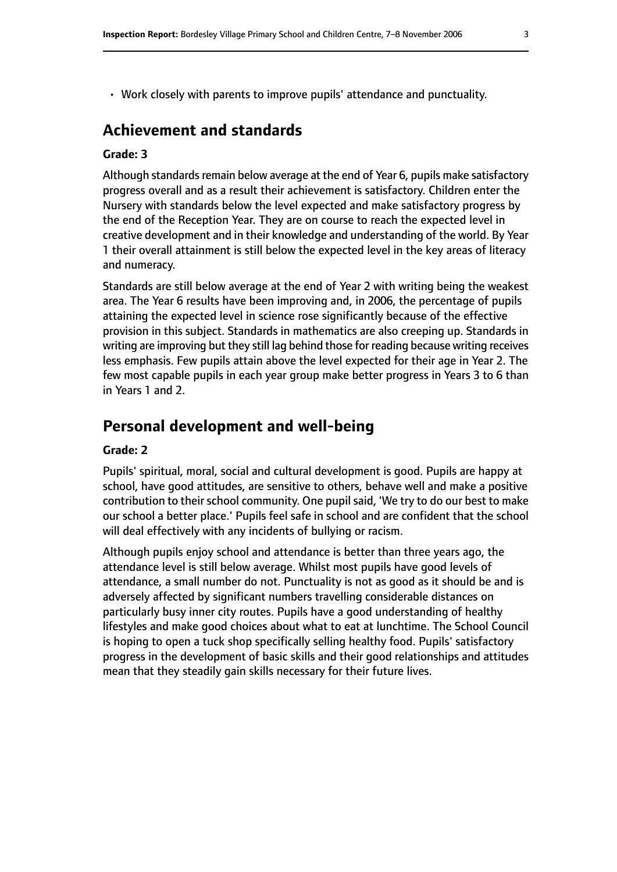• Work closely with parents to improve pupils' attendance and punctuality.

## **Achievement and standards**

#### **Grade: 3**

Although standards remain below average at the end of Year 6, pupils make satisfactory progress overall and as a result their achievement is satisfactory. Children enter the Nursery with standards below the level expected and make satisfactory progress by the end of the Reception Year. They are on course to reach the expected level in creative development and in their knowledge and understanding of the world. By Year 1 their overall attainment is still below the expected level in the key areas of literacy and numeracy.

Standards are still below average at the end of Year 2 with writing being the weakest area. The Year 6 results have been improving and, in 2006, the percentage of pupils attaining the expected level in science rose significantly because of the effective provision in this subject. Standards in mathematics are also creeping up. Standards in writing are improving but they still lag behind those for reading because writing receives less emphasis. Few pupils attain above the level expected for their age in Year 2. The few most capable pupils in each year group make better progress in Years 3 to 6 than in Years 1 and 2.

## **Personal development and well-being**

#### **Grade: 2**

Pupils' spiritual, moral, social and cultural development is good. Pupils are happy at school, have good attitudes, are sensitive to others, behave well and make a positive contribution to their school community. One pupil said, 'We try to do our best to make our school a better place.' Pupils feel safe in school and are confident that the school will deal effectively with any incidents of bullying or racism.

Although pupils enjoy school and attendance is better than three years ago, the attendance level is still below average. Whilst most pupils have good levels of attendance, a small number do not. Punctuality is not as good as it should be and is adversely affected by significant numbers travelling considerable distances on particularly busy inner city routes. Pupils have a good understanding of healthy lifestyles and make good choices about what to eat at lunchtime. The School Council is hoping to open a tuck shop specifically selling healthy food. Pupils' satisfactory progress in the development of basic skills and their good relationships and attitudes mean that they steadily gain skills necessary for their future lives.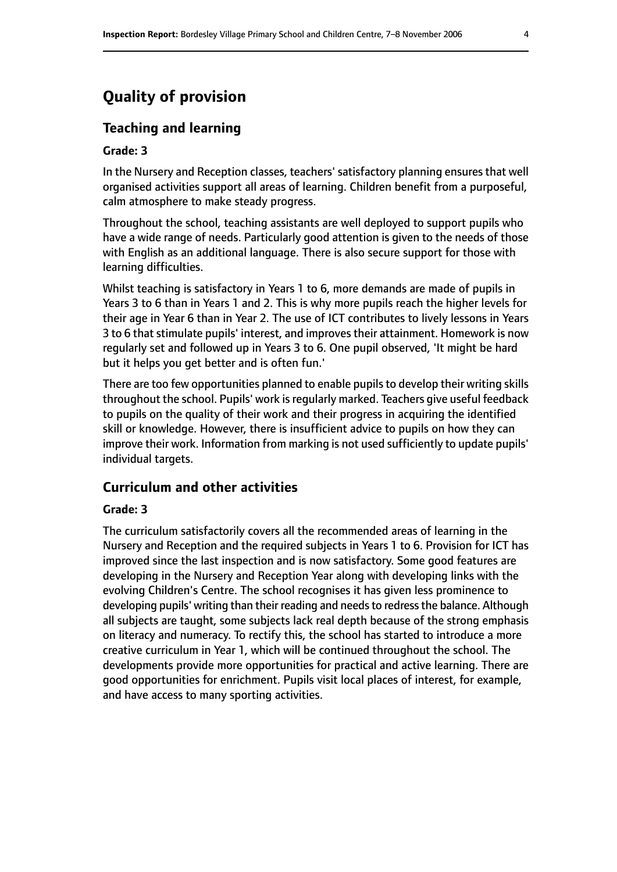## **Quality of provision**

#### **Teaching and learning**

#### **Grade: 3**

In the Nursery and Reception classes, teachers' satisfactory planning ensures that well organised activities support all areas of learning. Children benefit from a purposeful, calm atmosphere to make steady progress.

Throughout the school, teaching assistants are well deployed to support pupils who have a wide range of needs. Particularly good attention is given to the needs of those with English as an additional language. There is also secure support for those with learning difficulties.

Whilst teaching is satisfactory in Years 1 to 6, more demands are made of pupils in Years 3 to 6 than in Years 1 and 2. This is why more pupils reach the higher levels for their age in Year 6 than in Year 2. The use of ICT contributes to lively lessons in Years 3 to 6 that stimulate pupils' interest, and improves their attainment. Homework is now regularly set and followed up in Years 3 to 6. One pupil observed, 'It might be hard but it helps you get better and is often fun.'

There are too few opportunities planned to enable pupils to develop their writing skills throughout the school. Pupils' work is regularly marked. Teachers give useful feedback to pupils on the quality of their work and their progress in acquiring the identified skill or knowledge. However, there is insufficient advice to pupils on how they can improve their work. Information from marking is not used sufficiently to update pupils' individual targets.

#### **Curriculum and other activities**

#### **Grade: 3**

The curriculum satisfactorily covers all the recommended areas of learning in the Nursery and Reception and the required subjects in Years 1 to 6. Provision for ICT has improved since the last inspection and is now satisfactory. Some good features are developing in the Nursery and Reception Year along with developing links with the evolving Children's Centre. The school recognises it has given less prominence to developing pupils' writing than their reading and needs to redress the balance. Although all subjects are taught, some subjects lack real depth because of the strong emphasis on literacy and numeracy. To rectify this, the school has started to introduce a more creative curriculum in Year 1, which will be continued throughout the school. The developments provide more opportunities for practical and active learning. There are good opportunities for enrichment. Pupils visit local places of interest, for example, and have access to many sporting activities.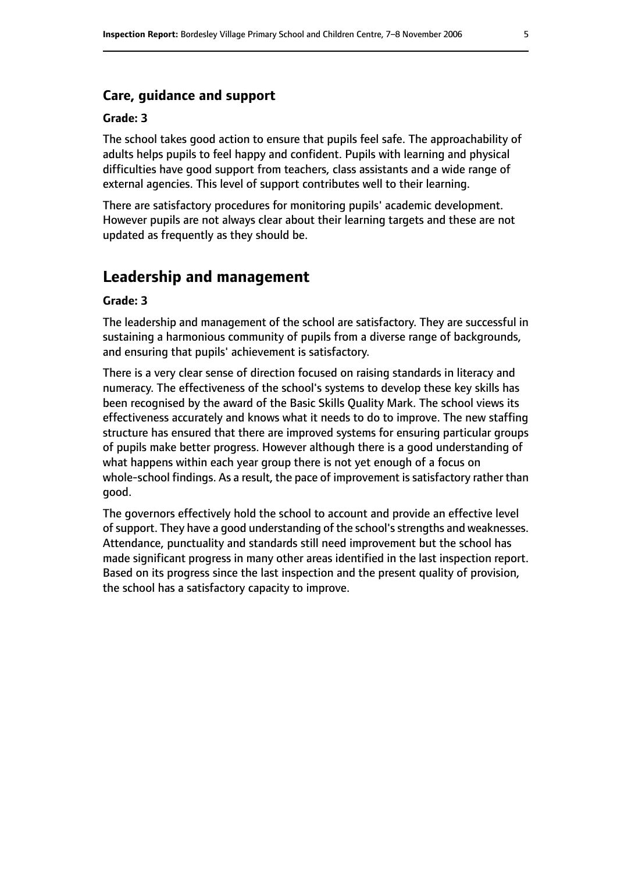#### **Care, guidance and support**

#### **Grade: 3**

The school takes good action to ensure that pupils feel safe. The approachability of adults helps pupils to feel happy and confident. Pupils with learning and physical difficulties have good support from teachers, class assistants and a wide range of external agencies. This level of support contributes well to their learning.

There are satisfactory procedures for monitoring pupils' academic development. However pupils are not always clear about their learning targets and these are not updated as frequently as they should be.

## **Leadership and management**

#### **Grade: 3**

The leadership and management of the school are satisfactory. They are successful in sustaining a harmonious community of pupils from a diverse range of backgrounds, and ensuring that pupils' achievement is satisfactory.

There is a very clear sense of direction focused on raising standards in literacy and numeracy. The effectiveness of the school's systems to develop these key skills has been recognised by the award of the Basic Skills Quality Mark. The school views its effectiveness accurately and knows what it needs to do to improve. The new staffing structure has ensured that there are improved systems for ensuring particular groups of pupils make better progress. However although there is a good understanding of what happens within each year group there is not yet enough of a focus on whole-school findings. As a result, the pace of improvement is satisfactory rather than good.

The governors effectively hold the school to account and provide an effective level of support. They have a good understanding of the school's strengths and weaknesses. Attendance, punctuality and standards still need improvement but the school has made significant progress in many other areas identified in the last inspection report. Based on its progress since the last inspection and the present quality of provision, the school has a satisfactory capacity to improve.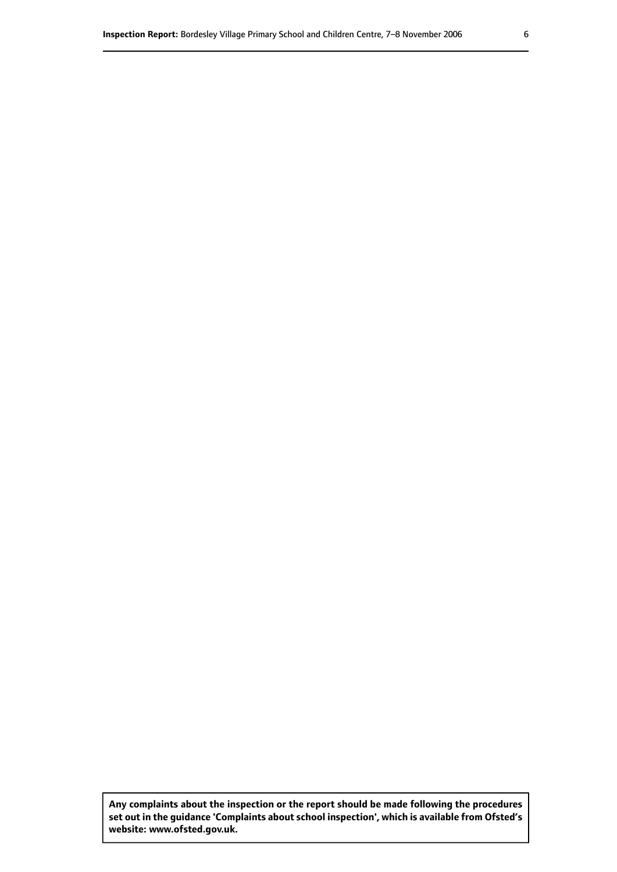**Any complaints about the inspection or the report should be made following the procedures set out inthe guidance 'Complaints about school inspection', whichis available from Ofsted's website: www.ofsted.gov.uk.**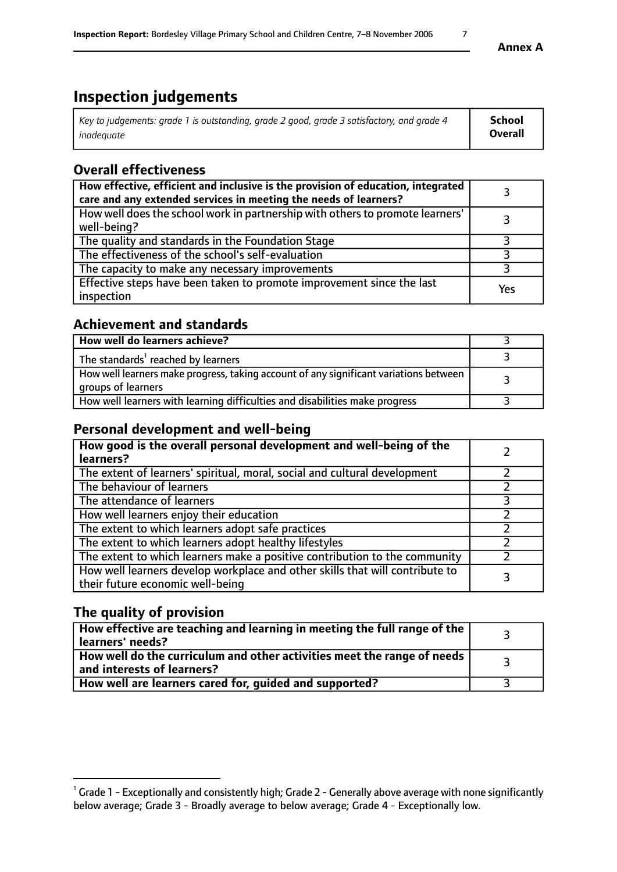# **Inspection judgements**

| Key to judgements: grade 1 is outstanding, grade 2 good, grade 3 satisfactory, and grade 4 | <b>School</b>  |
|--------------------------------------------------------------------------------------------|----------------|
| inadeauate                                                                                 | <b>Overall</b> |

## **Overall effectiveness**

| How effective, efficient and inclusive is the provision of education, integrated<br>care and any extended services in meeting the needs of learners? |     |
|------------------------------------------------------------------------------------------------------------------------------------------------------|-----|
| How well does the school work in partnership with others to promote learners'<br>well-being?                                                         |     |
| The quality and standards in the Foundation Stage                                                                                                    |     |
| The effectiveness of the school's self-evaluation                                                                                                    |     |
| The capacity to make any necessary improvements                                                                                                      |     |
| Effective steps have been taken to promote improvement since the last<br>inspection                                                                  | Yes |

## **Achievement and standards**

| How well do learners achieve?                                                                               |  |
|-------------------------------------------------------------------------------------------------------------|--|
| The standards <sup>1</sup> reached by learners                                                              |  |
| How well learners make progress, taking account of any significant variations between<br>groups of learners |  |
| How well learners with learning difficulties and disabilities make progress                                 |  |

## **Personal development and well-being**

| How good is the overall personal development and well-being of the<br>learners?                                  |  |
|------------------------------------------------------------------------------------------------------------------|--|
| The extent of learners' spiritual, moral, social and cultural development                                        |  |
| The behaviour of learners                                                                                        |  |
| The attendance of learners                                                                                       |  |
| How well learners enjoy their education                                                                          |  |
| The extent to which learners adopt safe practices                                                                |  |
| The extent to which learners adopt healthy lifestyles                                                            |  |
| The extent to which learners make a positive contribution to the community                                       |  |
| How well learners develop workplace and other skills that will contribute to<br>their future economic well-being |  |

## **The quality of provision**

| $\Box$ How effective are teaching and learning in meeting the full range of the $\Box$<br>  learners' needs?        |  |
|---------------------------------------------------------------------------------------------------------------------|--|
| $\mid$ How well do the curriculum and other activities meet the range of needs<br>$\mid$ and interests of learners? |  |
| How well are learners cared for, guided and supported?                                                              |  |

 $^1$  Grade 1 - Exceptionally and consistently high; Grade 2 - Generally above average with none significantly below average; Grade 3 - Broadly average to below average; Grade 4 - Exceptionally low.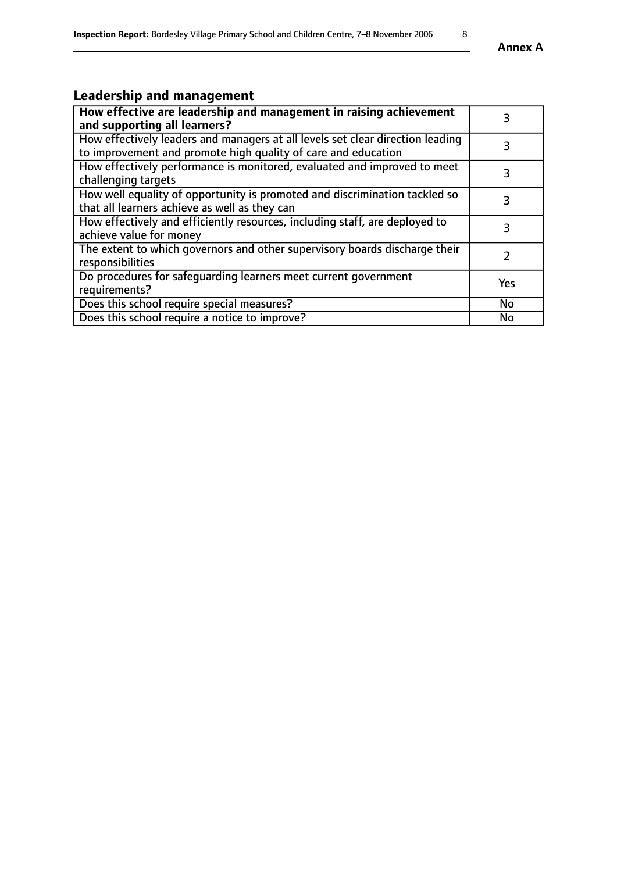# **Leadership and management**

| How effective are leadership and management in raising achievement<br>and supporting all learners?                                              |            |
|-------------------------------------------------------------------------------------------------------------------------------------------------|------------|
| How effectively leaders and managers at all levels set clear direction leading<br>to improvement and promote high quality of care and education |            |
| How effectively performance is monitored, evaluated and improved to meet<br>challenging targets                                                 |            |
| How well equality of opportunity is promoted and discrimination tackled so<br>that all learners achieve as well as they can                     |            |
| How effectively and efficiently resources, including staff, are deployed to<br>achieve value for money                                          | З          |
| The extent to which governors and other supervisory boards discharge their<br>responsibilities                                                  |            |
| Do procedures for safeguarding learners meet current government<br>requirements?                                                                | <b>Yes</b> |
| Does this school require special measures?                                                                                                      | <b>No</b>  |
| Does this school require a notice to improve?                                                                                                   | No         |